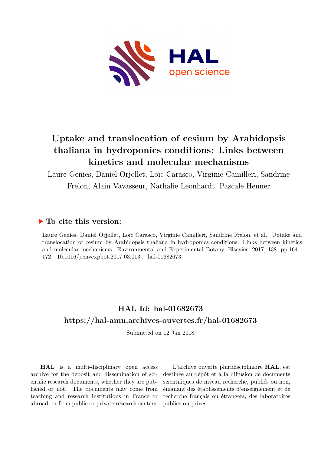

# **Uptake and translocation of cesium by Arabidopsis thaliana in hydroponics conditions: Links between kinetics and molecular mechanisms**

Laure Genies, Daniel Orjollet, Loïc Carasco, Virginie Camilleri, Sandrine Frelon, Alain Vavasseur, Nathalie Leonhardt, Pascale Henner

## **To cite this version:**

Laure Genies, Daniel Orjollet, Loïc Carasco, Virginie Camilleri, Sandrine Frelon, et al.. Uptake and translocation of cesium by Arabidopsis thaliana in hydroponics conditions: Links between kinetics and molecular mechanisms. Environmental and Experimental Botany, Elsevier, 2017, 138, pp.164 - 172. 10.1016/j.envexpbot.2017.03.013. hal-01682673

# **HAL Id: hal-01682673 <https://hal-amu.archives-ouvertes.fr/hal-01682673>**

Submitted on 12 Jan 2018

**HAL** is a multi-disciplinary open access archive for the deposit and dissemination of scientific research documents, whether they are published or not. The documents may come from teaching and research institutions in France or abroad, or from public or private research centers.

L'archive ouverte pluridisciplinaire **HAL**, est destinée au dépôt et à la diffusion de documents scientifiques de niveau recherche, publiés ou non, émanant des établissements d'enseignement et de recherche français ou étrangers, des laboratoires publics ou privés.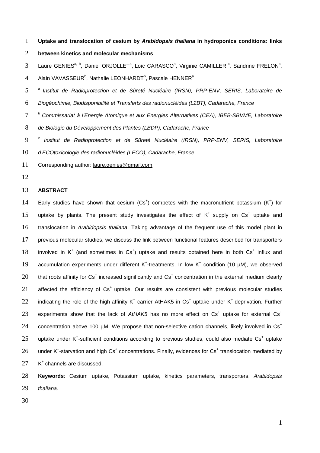1 **Uptake and translocation of cesium by** *Arabidopsis thaliana* **in hydroponics conditions: links**

2 **between kinetics and molecular mechanisms**

3 Laure GENIES<sup>a, b</sup>, Daniel ORJOLLET<sup>a</sup>, Loïc CARASCO<sup>a</sup>, Virginie CAMILLERI<sup>c</sup>, Sandrine FRELON<sup>c</sup>, Alain VAVASSEUR<sup>b</sup>, Nathalie LEONHARDT<sup>b</sup>, Pascale HENNER<sup>a</sup> 4

5<sup>a</sup> Institut de Radioprotection et de Sûreté Nucléaire (IRSN), PRP-ENV, SERIS, Laboratoire de 6 *Biogéochimie, Biodisponibilité et Transferts des radionucléides (L2BT), Cadarache, France*

- *b* 7 *Commissariat à l'Energie Atomique et aux Energies Alternatives (CEA), IBEB-SBVME, Laboratoire*
- 8 *de Biologie du Développement des Plantes (LBDP), Cadarache, France*
- *c* 9 *Institut de Radioprotection et de Sûreté Nucléaire (IRSN), PRP-ENV, SERIS, Laboratoire*

10 *d'ECOtoxicologie des radionucléides (LECO), Cadarache, France*

11 Corresponding author: laure.genies@gmail.com

12

#### 13 **ABSTRACT**

14 Early studies have shown that cesium (Cs<sup>+</sup>) competes with the macronutrient potassium (K<sup>+</sup>) for 15 uptake by plants. The present study investigates the effect of  $K^+$  supply on  $Cs^+$  uptake and 16 translocation in *Arabidopsis thaliana*. Taking advantage of the frequent use of this model plant in 17 previous molecular studies, we discuss the link between functional features described for transporters 18 involved in  $K^+$  (and sometimes in  $Cs^+$ ) uptake and results obtained here in both  $Cs^+$  influx and 19 accumulation experiments under different K<sup>+</sup>-treatments. In low K<sup>+</sup> condition (10 µM), we observed 20 that roots affinity for  $\text{Cs}^+$  increased significantly and  $\text{Cs}^+$  concentration in the external medium clearly 21 affected the efficiency of Cs<sup>+</sup> uptake. Our results are consistent with previous molecular studies 22 indicating the role of the high-affinity K<sup>+</sup> carrier AtHAK5 in Cs<sup>+</sup> uptake under K<sup>+</sup>-deprivation. Further experiments show that the lack of AtHAK5 has no more effect on Cs<sup>+</sup> uptake for external Cs<sup>+</sup> 23 concentration above 100 µM. We propose that non-selective cation channels, likely involved in  $Cs<sup>+</sup>$ 24 25 uptake under K<sup>+</sup>-sufficient conditions according to previous studies, could also mediate Cs<sup>+</sup> uptake 26 under K<sup>+</sup>-starvation and high Cs<sup>+</sup> concentrations. Finally, evidences for Cs<sup>+</sup> translocation mediated by  $27$  K<sup>+</sup> channels are discussed.

28 **Keywords**: Cesium uptake, Potassium uptake, kinetics parameters, transporters, *Arabidopsis* 29 *thaliana*.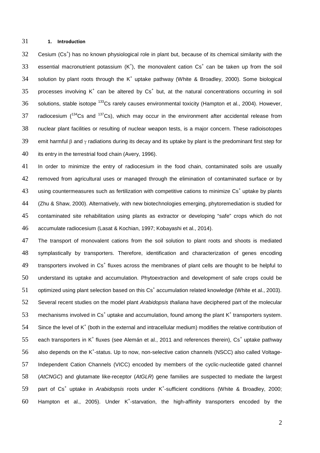#### 31 **1. Introduction**

 $32$  Cesium (Cs<sup>+</sup>) has no known physiological role in plant but, because of its chemical similarity with the 33 essential macronutrient potassium  $(K^+)$ , the monovalent cation  $Cs^+$  can be taken up from the soil 34 solution by plant roots through the  $K^+$  uptake pathway (White & Broadley, 2000). Some biological 35 processes involving K<sup>+</sup> can be altered by  $Cs<sup>+</sup>$  but, at the natural concentrations occurring in soil  $36$  solutions, stable isotope  $133$ Cs rarely causes environmental toxicity (Hampton et al., 2004). However, 37 radiocesium ( $134$ Cs and  $137$ Cs), which may occur in the environment after accidental release from 38 nuclear plant facilities or resulting of nuclear weapon tests, is a major concern. These radioisotopes 39 emit harmful  $\beta$  and  $\gamma$  radiations during its decay and its uptake by plant is the predominant first step for 40 its entry in the terrestrial food chain (Avery, 1996).

 In order to minimize the entry of radiocesium in the food chain, contaminated soils are usually 42 removed from agricultural uses or managed through the elimination of contaminated surface or by 43 using countermeasures such as fertilization with competitive cations to minimize  $\text{Cs}^+$  uptake by plants (Zhu & Shaw, 2000). Alternatively, with new biotechnologies emerging, phytoremediation is studied for contaminated site rehabilitation using plants as extractor or developing "safe" crops which do not accumulate radiocesium (Lasat & Kochian, 1997; Kobayashi et al., 2014).

47 The transport of monovalent cations from the soil solution to plant roots and shoots is mediated 48 symplastically by transporters. Therefore, identification and characterization of genes encoding 49 transporters involved in  $Cs<sup>+</sup>$  fluxes across the membranes of plant cells are thought to be helpful to 50 understand its uptake and accumulation. Phytoextraction and development of safe crops could be 51 optimized using plant selection based on this  $\text{Cs}^+$  accumulation related knowledge (White et al., 2003). 52 Several recent studies on the model plant *Arabidopsis thaliana* have deciphered part of the molecular 53 mechanisms involved in  $Cs<sup>+</sup>$  uptake and accumulation, found among the plant  $K<sup>+</sup>$  transporters system. 54 Since the level of  $K^+$  (both in the external and intracellular medium) modifies the relative contribution of 55 each transporters in K<sup>+</sup> fluxes (see Alemán et al., 2011 and references therein),  $Cs<sup>+</sup>$  uptake pathway 56 also depends on the K<sup>+</sup>-status. Up to now, non-selective cation channels (NSCC) also called Voltage-57 Independent Cation Channels (VICC) encoded by members of the cyclic-nucleotide gated channel 58 (*AtCNGC*) and glutamate like-receptor (*AtGLR*) gene families are suspected to mediate the largest 59 part of Cs<sup>+</sup> uptake in Arabidopsis roots under K<sup>+</sup>-sufficient conditions (White & Broadley, 2000;  $60$  Hampton et al., 2005). Under K<sup>+</sup>-starvation, the high-affinity transporters encoded by the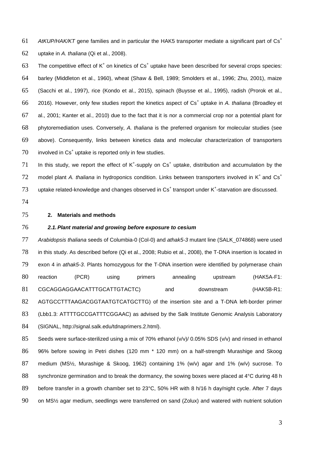AtKUP/HAK/KT gene families and in particular the HAK5 transporter mediate a significant part of Cs<sup>+</sup> uptake in *A. thaliana* (Qi et al., 2008).

63 The competitive effect of  $K^+$  on kinetics of  $Cs^+$  uptake have been described for several crops species: barley (Middleton et al., 1960), wheat (Shaw & Bell, 1989; Smolders et al., 1996; Zhu, 2001), maize (Sacchi et al., 1997), rice (Kondo et al., 2015), spinach (Buysse et al., 1995), radish (Prorok et al., 66 2016). However, only few studies report the kinetics aspect of Cs<sup>+</sup> uptake in A. thaliana (Broadley et al., 2001; Kanter et al., 2010) due to the fact that it is nor a commercial crop nor a potential plant for phytoremediation uses. Conversely, *A. thaliana* is the preferred organism for molecular studies (see above). Consequently, links between kinetics data and molecular characterization of transporters involved in  $\text{Cs}^+$  uptake is reported only in few studies.

71 In this study, we report the effect of  $K^*$ -supply on  $Cs^+$  uptake, distribution and accumulation by the model plant A. thaliana in hydroponics condition. Links between transporters involved in K<sup>+</sup> and Cs<sup>+</sup> 73 uptake related-knowledge and changes observed in  $Cs<sup>+</sup>$  transport under K<sup>+</sup>-starvation are discussed.

#### **2. Materials and methods**

#### *2.1. Plant material and growing before exposure to cesium*

 *Arabidopsis thaliana* seeds of Columbia-0 (Col-0) and *athak5-3* mutant line (SALK\_074868) were used in this study. As described before (Qi et al., 2008; Rubio et al., 2008), the T-DNA insertion is located in exon 4 in *athak5-3*. Plants homozygous for the T-DNA insertion were identified by polymerase chain reaction (PCR) using primers annealing upstream (HAK5A-F1: 81 CGCAGGAGGAACATTTGCATTGTACTC) and downstream (HAK5B-R1: AGTGCCTTTAAGACGGTAATGTCATGCTTG) of the insertion site and a T-DNA left-border primer (Lbb1.3: ATTTTGCCGATTTCGGAAC) as advised by the Salk Institute Genomic Analysis Laboratory (SIGNAL, http://signal.salk.edu/tdnaprimers.2.html).

 Seeds were surface-sterilized using a mix of 70% ethanol (v/v)/ 0.05% SDS (v/v) and rinsed in ethanol 96% before sowing in Petri dishes (120 mm \* 120 mm) on a half-strength Murashige and Skoog medium (MS½, Murashige & Skoog, 1962) containing 1% (w/v) agar and 1% (w/v) sucrose. To 88 synchronize germination and to break the dormancy, the sowing boxes were placed at 4°C during 48 h before transfer in a growth chamber set to 23°C, 50% HR with 8 h/16 h day/night cycle. After 7 days on MS½ agar medium, seedlings were transferred on sand (Zolux) and watered with nutrient solution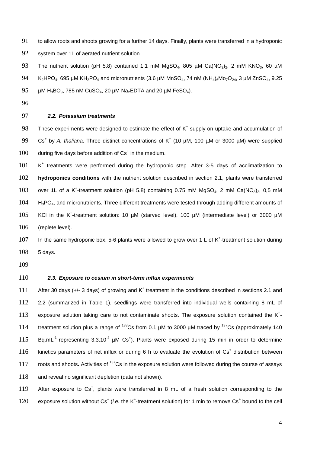91 to allow roots and shoots growing for a further 14 days. Finally, plants were transferred in a hydroponic 92 system over 1L of aerated nutrient solution.

93 The nutrient solution (pH 5.8) contained 1.1 mM MgSO<sub>4</sub>, 805 µM Ca(NO<sub>3</sub>)<sub>2</sub>, 2 mM KNO<sub>3</sub>, 60 µM 94 K<sub>2</sub>HPO<sub>4</sub>, 695 µM KH<sub>2</sub>PO<sub>4</sub> and micronutrients (3.6 µM MnSO<sub>4</sub>, 74 nM (NH<sub>4</sub>)<sub>6</sub>Mo<sub>7</sub>O<sub>24</sub>, 3 µM ZnSO<sub>4</sub>, 9.25 95 µM H<sub>3</sub>BO<sub>3</sub>, 785 nM CuSO<sub>4</sub>, 20 µM Na<sub>2</sub>EDTA and 20 µM FeSO<sub>4</sub>).

96

#### 97 *2.2. Potassium treatments*

98 These experiments were designed to estimate the effect of  $K^*$ -supply on uptake and accumulation of 99 Cs<sup>+</sup> by *A. thaliana*. Three distinct concentrations of K<sup>+</sup> (10 μM, 100 μM or 3000 μM) were supplied  $100$  during five days before addition of  $\text{Cs}^+$  in the medium.

101 K<sup>+</sup> treatments were performed during the hydroponic step. After 3-5 days of acclimatization to 102 **hydroponics conditions** with the nutrient solution described in section 2.1, plants were transferred 103 over 1L of a K<sup>+</sup>-treatment solution (pH 5.8) containing 0.75 mM MgSO<sub>4</sub>, 2 mM Ca(NO<sub>3</sub>)<sub>2</sub>, 0,5 mM 104 H<sub>3</sub>PO<sub>4</sub>, and micronutrients. Three different treatments were tested through adding different amounts of 105 KCI in the K<sup>+</sup>-treatment solution: 10 µM (starved level), 100 µM (intermediate level) or 3000 µM 106 (replete level).

 $107$  In the same hydroponic box, 5-6 plants were allowed to grow over 1 L of K<sup>+</sup>-treatment solution during 108 5 days.

109

#### 110 *2.3. Exposure to cesium in short-term influx experiments*

111 After 30 days (+/- 3 days) of growing and K<sup>+</sup> treatment in the conditions described in sections 2.1 and 112 2.2 (summarized in Table 1), seedlings were transferred into individual wells containing 8 mL of 113 exposure solution taking care to not contaminate shoots. The exposure solution contained the K<sup>+</sup>-114 treatment solution plus a range of  $^{133}$ Cs from 0.1  $\mu$ M to 3000  $\mu$ M traced by  $^{137}$ Cs (approximately 140 115 Bq.mL<sup>-1</sup> representing 3.3.10<sup>-4</sup>  $\mu$ M Cs<sup>+</sup>). Plants were exposed during 15 min in order to determine 116 kinetics parameters of net influx or during 6 h to evaluate the evolution of Cs<sup>+</sup> distribution between 117 roots and shoots. Activities of <sup>137</sup>Cs in the exposure solution were followed during the course of assays 118 and reveal no significant depletion (data not shown).

119 After exposure to Cs<sup>+</sup>, plants were transferred in 8 mL of a fresh solution corresponding to the 120 exposure solution without Cs<sup>+</sup> (*i.e.* the K<sup>+</sup>-treatment solution) for 1 min to remove Cs<sup>+</sup> bound to the cell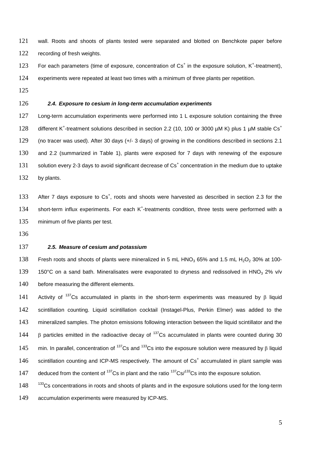121 wall. Roots and shoots of plants tested were separated and blotted on Benchkote paper before 122 recording of fresh weights.

123 For each parameters (time of exposure, concentration of Cs<sup>+</sup> in the exposure solution, K<sup>+</sup>-treatment),

124 experiments were repeated at least two times with a minimum of three plants per repetition.

125

### 126 *2.4. Exposure to cesium in long-term accumulation experiments*

127 Long-term accumulation experiments were performed into 1 L exposure solution containing the three different K<sup>+</sup>-treatment solutions described in section 2.2 (10, 100 or 3000 µM K) plus 1 µM stable Cs<sup>+</sup> 128 129 (no tracer was used). After 30 days (+/- 3 days) of growing in the conditions described in sections 2.1 130 and 2.2 (summarized in Table 1), plants were exposed for 7 days with renewing of the exposure 131 solution every 2-3 days to avoid significant decrease of Cs<sup>+</sup> concentration in the medium due to uptake 132 by plants.

133 After 7 days exposure to Cs<sup>+</sup>, roots and shoots were harvested as described in section 2.3 for the 134 short-term influx experiments. For each K<sup>+</sup>-treatments condition, three tests were performed with a 135 minimum of five plants per test.

- 136
- 

#### 137 *2.5. Measure of cesium and potassium*

138 Fresh roots and shoots of plants were mineralized in 5 mL HNO<sub>3</sub> 65% and 1.5 mL H<sub>2</sub>O<sub>2</sub> 30% at 100-139 150°C on a sand bath. Mineralisates were evaporated to dryness and redissolved in HNO<sub>3</sub> 2% v/v 140 before measuring the different elements.

141 Activity of <sup>137</sup>Cs accumulated in plants in the short-term experiments was measured by  $\beta$  liquid 142 scintillation counting. Liquid scintillation cocktail (Instagel-Plus, Perkin Elmer) was added to the 143 mineralized samples. The photon emissions following interaction between the liquid scintillator and the  $144$  B particles emitted in the radioactive decay of  $137$ Cs accumulated in plants were counted during 30 145 min. In parallel, concentration of <sup>137</sup>Cs and <sup>133</sup>Cs into the exposure solution were measured by  $\beta$  liquid 146 scintillation counting and ICP-MS respectively. The amount of Cs<sup>+</sup> accumulated in plant sample was 147 deduced from the content of  $^{137}$ Cs in plant and the ratio  $^{137}$ Cs/ $^{133}$ Cs into the exposure solution.

 $148$   $133$ Cs concentrations in roots and shoots of plants and in the exposure solutions used for the long-term

149 accumulation experiments were measured by ICP-MS.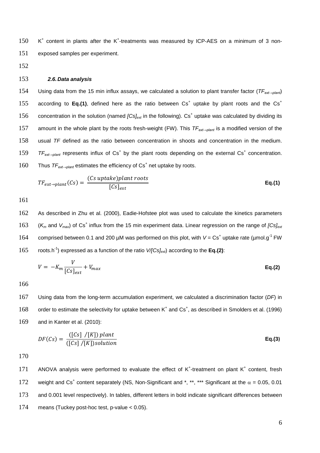150 K<sup>+</sup> content in plants after the K<sup>+</sup>-treatments was measured by ICP-AES on a minimum of 3 non-151 exposed samples per experiment.

152

#### 153 *2.6. Data analysis*

154 Using data from the 15 min influx assays, we calculated a solution to plant transfer factor (*TFext→plant*) according to  $Eq.(1)$ , defined here as the ratio between  $Cs<sup>+</sup>$  uptake by plant roots and the  $Cs<sup>+</sup>$ 155 156 concentration in the solution (named *[Cs]<sub>ext</sub>* in the following). Cs<sup>+</sup> uptake was calculated by dividing its 157 amount in the whole plant by the roots fresh-weight (FW). This *TF*<sub>ext→plant</sub> is a modified version of the 158 usual *TF* defined as the ratio between concentration in shoots and concentration in the medium. 159 *TF*<sub>ext→plant</sub> represents influx of Cs<sup>+</sup> by the plant roots depending on the external Cs<sup>+</sup> concentration. 160 Thus *TF*<sub>ext→plant</sub> estimates the efficiency of Cs<sup>+</sup> net uptake by roots.

$$
TF_{ext \to plant}(Cs) = \frac{(Cs \text{ uptake})\text{plant roots}}{[Cs]_{ext}}
$$
 Eq.(1)

161

162 As described in Zhu et al. (2000), Eadie-Hofstee plot was used to calculate the kinetics parameters 163 ( $K_m$  and  $V_{max}$ ) of Cs<sup>+</sup> influx from the 15 min experiment data. Linear regression on the range of  $[Cs]_{ext}$ 164 comprised between 0.1 and 200  $\mu$ M was performed on this plot, with  $V = Cs^{+}$  uptake rate ( $\mu$ mol.g<sup>-1</sup> FW 165 roots.h<sup>-1</sup>) expressed as a function of the ratio  $V/[Cs]_{ext}$  according to the **Eq.(2)**:

$$
V = -K_m \frac{V}{[Cs]_{ext}} + V_{max}
$$
 Eq.(2)

166

167 Using data from the long-term accumulation experiment, we calculated a discrimination factor (*DF*) in 168 order to estimate the selectivity for uptake between K<sup>+</sup> and Cs<sup>+</sup>, as described in Smolders et al. (1996) 169 and in Kanter et al. (2010):

$$
DF(Cs) = \frac{([Cs] / [K]) \, plant}{([Cs] / [K]) \, solution}
$$
 Eq.(3)

170

171 ANOVA analysis were performed to evaluate the effect of  $K^+$ -treatment on plant  $K^+$  content, fresh 172 weight and Cs<sup>+</sup> content separately (NS, Non-Significant and \*, \*\*, \*\*\* Significant at the  $\alpha = 0.05, 0.01$ 173 and 0.001 level respectively). In tables, different letters in bold indicate significant differences between 174 means (Tuckey post-hoc test, p-value < 0.05).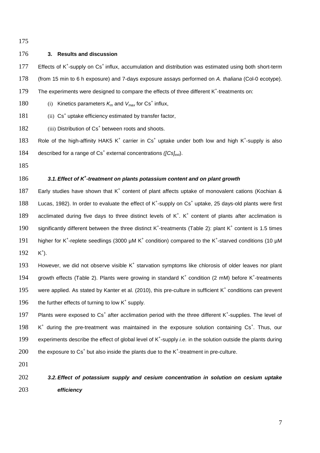176 **3. Results and discussion** 177 Effects of K<sup>+</sup>-supply on Cs<sup>+</sup> influx, accumulation and distribution was estimated using both short-term 178 (from 15 min to 6 h exposure) and 7-days exposure assays performed on *A. thaliana* (Col-0 ecotype). 179 The experiments were designed to compare the effects of three different K<sup>+</sup>-treatments on: 180 (i) Kinetics parameters  $K_m$  and  $V_{max}$  for Cs<sup>+</sup> influx, 181 (ii) Cs<sup>+</sup> uptake efficiency estimated by transfer factor, 182 (iii) Distribution of Cs<sup>+</sup> between roots and shoots. 183 Role of the high-affinity HAK5 K<sup>+</sup> carrier in  $\text{Cs}^+$  uptake under both low and high K<sup>+</sup>-supply is also 184 described for a range of Cs<sup>+</sup> external concentrations *([Cs]<sub>ext</sub>*). 185 186 3.1. Effect of K<sup>+</sup>-treatment on plants potassium content and on plant growth 187 Early studies have shown that K<sup>+</sup> content of plant affects uptake of monovalent cations (Kochian & 188 Lucas, 1982). In order to evaluate the effect of K<sup>+</sup>-supply on Cs<sup>+</sup> uptake, 25 days-old plants were first 189 acclimated during five days to three distinct levels of K<sup>+</sup>. K<sup>+</sup> content of plants after acclimation is 190 significantly different between the three distinct K<sup>+</sup>-treatments (Table 2): plant K<sup>+</sup> content is 1.5 times 191 higher for K<sup>+</sup>-replete seedlings (3000  $\mu$ M K<sup>+</sup> condition) compared to the K<sup>+</sup>-starved conditions (10  $\mu$ M  $K^+$ 192 193 However, we did not observe visible  $K^+$  starvation symptoms like chlorosis of older leaves nor plant 194 growth effects (Table 2). Plants were growing in standard K<sup>+</sup> condition (2 mM) before K<sup>+</sup>-treatments 195 were applied. As stated by Kanter et al. (2010), this pre-culture in sufficient  $K^*$  conditions can prevent 196 the further effects of turning to low  $K^*$  supply. 197 Plants were exposed to Cs<sup>+</sup> after acclimation period with the three different K<sup>+</sup>-supplies. The level of 198 K<sup>+</sup> during the pre-treatment was maintained in the exposure solution containing Cs<sup>+</sup>. Thus, our 199 experiments describe the effect of global level of K<sup>+</sup>-supply *i.e.* in the solution outside the plants during 200 the exposure to Cs<sup>+</sup> but also inside the plants due to the K<sup>+</sup>-treatment in pre-culture. 201 202 *3.2. Effect of potassium supply and cesium concentration in solution on cesium uptake* 203 *efficiency*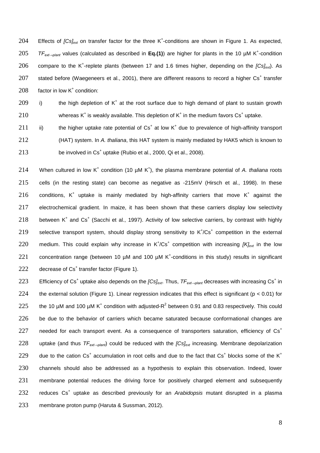204 Effects of  $[Cs]_{ext}$  on transfer factor for the three  $K^+$ -conditions are shown in Figure 1. As expected, 205 *TF*<sub>ext→plant</sub> values (calculated as described in **Eq.(1)**) are higher for plants in the 10 µM K<sup>+</sup>-condition 206 compare to the K<sup>+</sup>-replete plants (between 17 and 1.6 times higher, depending on the  $[Cs]_{ext}$ ). As 207 stated before (Waegeneers et al., 2001), there are different reasons to record a higher  $\text{Cs}^+$  transfer  $208$  factor in low K<sup>+</sup> condition:

 $209$  i) the high depletion of K<sup>+</sup> at the root surface due to high demand of plant to sustain growth 210 whereas K<sup>+</sup> is weakly available. This depletion of K<sup>+</sup> in the medium favors Cs<sup>+</sup> uptake.

211 ii) the higher uptake rate potential of  $Cs<sup>+</sup>$  at low K<sup>+</sup> due to prevalence of high-affinity transport 212 (HAT) system. In *A. thaliana*, this HAT system is mainly mediated by HAK5 which is known to  $213$  be involved in Cs<sup>+</sup> uptake (Rubio et al., 2000, Qi et al., 2008).

214 When cultured in low K<sup>+</sup> condition (10  $\mu$ M K<sup>+</sup>), the plasma membrane potential of *A. thaliana* roots 215 cells (in the resting state) can become as negative as -215mV (Hirsch et al., 1998). In these 216 conditions, K<sup>+</sup> uptake is mainly mediated by high-affinity carriers that move K<sup>+</sup> against the 217 electrochemical gradient. In maize, it has been shown that these carriers display low selectivity 218 between  $K^+$  and  $Cs^+$  (Sacchi et al., 1997). Activity of low selective carriers, by contrast with highly 219 selective transport system, should display strong sensitivity to  $K^{\dagger}/Cs^{\dagger}$  competition in the external 220 medium. This could explain why increase in  $K^{\dagger}/Cs^{\dagger}$  competition with increasing  $[K]_{ext}$  in the low 221 concentration range (between 10  $\mu$ M and 100  $\mu$ M K<sup>+</sup>-conditions in this study) results in significant 222 decrease of  $Cs<sup>+</sup>$  transfer factor (Figure 1).

223 Efficiency of Cs<sup>+</sup> uptake also depends on the *[Cs]<sub>ext</sub>*. Thus, *TF<sub>ext→plant* decreases with increasing Cs<sup>+</sup> in</sub> 224 the external solution (Figure 1). Linear regression indicates that this effect is significant ( $p < 0.01$ ) for 225 the 10 µM and 100 µM K<sup>+</sup> condition with adjusted-R<sup>2</sup> between 0.91 and 0.83 respectively. This could 226 be due to the behavior of carriers which became saturated because conformational changes are needed for each transport event. As a consequence of transporters saturation, efficiency of Cs<sup>+</sup> 227 228 uptake (and thus *TF*<sub>ext→plant</sub>) could be reduced with the *[Cs]<sub>ext</sub>* increasing. Membrane depolarization due to the cation Cs<sup>+</sup> accumulation in root cells and due to the fact that Cs<sup>+</sup> blocks some of the K<sup>+</sup> 229 230 channels should also be addressed as a hypothesis to explain this observation. Indeed, lower 231 membrane potential reduces the driving force for positively charged element and subsequently 232 reduces Cs<sup>+</sup> uptake as described previously for an *Arabidopsis* mutant disrupted in a plasma 233 membrane proton pump (Haruta & Sussman, 2012).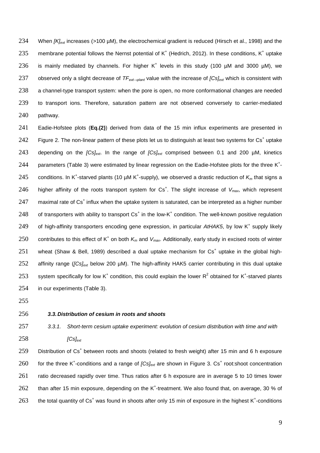234 When *[K]<sub>ext</sub>* increases (>100 µM), the electrochemical gradient is reduced (Hirsch et al., 1998) and the 235 membrane potential follows the Nernst potential of K<sup>+</sup> (Hedrich, 2012). In these conditions, K<sup>+</sup> uptake 236 is mainly mediated by channels. For higher K<sup>+</sup> levels in this study (100 µM and 3000 µM), we 237 observed only a slight decrease of *TFext→plant* value with the increase of *[Cs]ext* which is consistent with 238 a channel-type transport system: when the pore is open, no more conformational changes are needed 239 to transport ions. Therefore, saturation pattern are not observed conversely to carrier-mediated 240 pathway.

241 Eadie-Hofstee plots (**Eq.(2)**) derived from data of the 15 min influx experiments are presented in 242 Figure 2. The non-linear pattern of these plots let us to distinguish at least two systems for  $Cs<sup>+</sup>$  uptake 243 depending on the *[Cs]<sub>ext</sub>*. In the range of *[Cs]<sub>ext</sub>* comprised between 0.1 and 200 µM, kinetics 244 parameters (Table 3) were estimated by linear regression on the Eadie-Hofstee plots for the three K<sup>+</sup>-245 conditions. In K<sup>+</sup>-starved plants (10 µM K<sup>+</sup>-supply), we observed a drastic reduction of  $K_m$  that signs a 246 higher affinity of the roots transport system for Cs<sup>+</sup>. The slight increase of *V<sub>max</sub>*, which represent 247 maximal rate of  $Cs<sup>+</sup>$  influx when the uptake system is saturated, can be interpreted as a higher number 248 of transporters with ability to transport  $\text{Cs}^+$  in the low-K<sup>+</sup> condition. The well-known positive regulation 249 of high-affinity transporters encoding gene expression, in particular AtHAK5, by low K<sup>+</sup> supply likely 250 contributes to this effect of K<sup>+</sup> on both  $K_m$  and  $V_{max}$ . Additionally, early study in excised roots of winter 251 wheat (Shaw & Bell, 1989) described a dual uptake mechanism for  $Cs<sup>+</sup>$  uptake in the global high-252 affinity range (*[Cs]ext* below 200 µM). The high-affinity HAK5 carrier contributing in this dual uptake 253 system specifically for low K<sup>+</sup> condition, this could explain the lower R<sup>2</sup> obtained for K<sup>+</sup>-starved plants 254 in our experiments (Table 3).

255

#### 256 *3.3. Distribution of cesium in roots and shoots*

257 *3.3.1. Short-term cesium uptake experiment: evolution of cesium distribution with time and with*

258 *[Cs]ext*

259 Distribution of Cs<sup>+</sup> between roots and shoots (related to fresh weight) after 15 min and 6 h exposure 260 for the three K<sup>+</sup>-conditions and a range of *[Cs]<sub>ext</sub>* are shown in Figure 3. Cs<sup>+</sup> root:shoot concentration 261 ratio decreased rapidly over time. Thus ratios after 6 h exposure are in average 5 to 10 times lower 262 than after 15 min exposure, depending on the K<sup>+</sup>-treatment. We also found that, on average, 30 % of 263 the total quantity of Cs<sup>+</sup> was found in shoots after only 15 min of exposure in the highest K<sup>+</sup>-conditions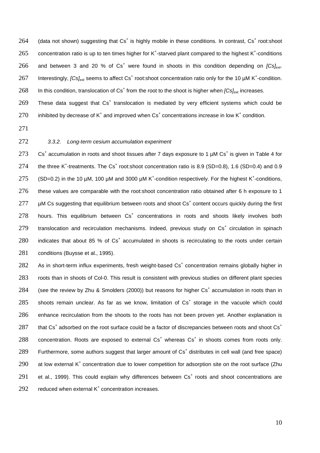264 (data not shown) suggesting that Cs<sup>+</sup> is highly mobile in these conditions. In contrast, Cs<sup>+</sup> root:shoot 265 concentration ratio is up to ten times higher for K<sup>+</sup>-starved plant compared to the highest K<sup>+</sup>-conditions 266 and between 3 and 20 % of  $Cs^+$  were found in shoots in this condition depending on  $[Cs]_{ext}$ . 267 Interestingly,  $[Cs]_{ext}$  seems to affect  $Cs^+$  root:shoot concentration ratio only for the 10  $\mu$ M K<sup>+</sup>-condition.  $268$  In this condition, translocation of  $Cs<sup>+</sup>$  from the root to the shoot is higher when  $[Cs]_{ext}$  increases.

 $269$  These data suggest that  $\text{Cs}^+$  translocation is mediated by very efficient systems which could be 270 inhibited by decrease of K<sup>+</sup> and improved when Cs<sup>+</sup> concentrations increase in low K<sup>+</sup> condition.

- 271
- 

#### 272 *3.3.2. Long-term cesium accumulation experiment*

273 Cs<sup>+</sup> accumulation in roots and shoot tissues after 7 days exposure to 1  $\mu$ M Cs<sup>+</sup> is given in Table 4 for 274 the three K<sup>+</sup>-treatments. The Cs<sup>+</sup> root:shoot concentration ratio is 8.9 (SD=0.8), 1.6 (SD=0.4) and 0.9 275 (SD=0.2) in the 10 µM, 100 µM and 3000 µM K<sup>+</sup>-condition respectively. For the highest K<sup>+</sup>-conditions, 276 these values are comparable with the root:shoot concentration ratio obtained after 6 h exposure to 1  $277$  µM Cs suggesting that equilibrium between roots and shoot  $\text{Cs}^+$  content occurs quickly during the first  $278$  hours. This equilibrium between  $\text{Cs}^+$  concentrations in roots and shoots likely involves both  $279$  translocation and recirculation mechanisms. Indeed, previous study on  $Cs<sup>+</sup>$  circulation in spinach  $280$  indicates that about 85 % of  $\text{Cs}^+$  accumulated in shoots is recirculating to the roots under certain 281 conditions (Buysse et al., 1995).

282 As in short-term influx experiments, fresh weight-based  $\text{Cs}^+$  concentration remains globally higher in 283 roots than in shoots of Col-0. This result is consistent with previous studies on different plant species 284 (see the review by Zhu & Smolders (2000)) but reasons for higher  $\text{Cs}^+$  accumulation in roots than in 285 shoots remain unclear. As far as we know, limitation of  $Cs<sup>+</sup>$  storage in the vacuole which could 286 enhance recirculation from the shoots to the roots has not been proven yet. Another explanation is that Cs<sup>+</sup> adsorbed on the root surface could be a factor of discrepancies between roots and shoot Cs<sup>+</sup> 287 288 concentration. Roots are exposed to external  $Cs<sup>+</sup>$  whereas  $Cs<sup>+</sup>$  in shoots comes from roots only. 289 Furthermore, some authors suggest that larger amount of  $Cs<sup>+</sup>$  distributes in cell wall (and free space) 290 at low external K<sup>+</sup> concentration due to lower competition for adsorption site on the root surface (Zhu 291 et al., 1999). This could explain why differences between  $\text{Cs}^+$  roots and shoot concentrations are 292 reduced when external  $K^+$  concentration increases.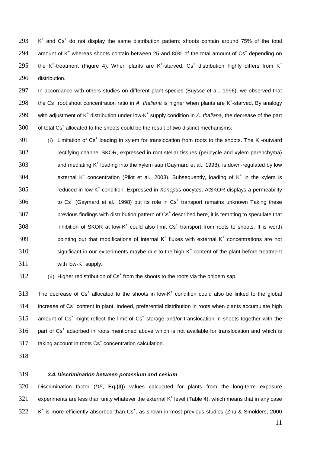K<sup>+</sup> and Cs<sup>+</sup> do not display the same distribution pattern: shoots contain around 75% of the total 294 amount of K<sup>+</sup> whereas shoots contain between 25 and 80% of the total amount of  $\text{Cs}^+$  depending on the K<sup>+</sup>-treatment (Figure 4). When plants are K<sup>+</sup>-starved, Cs<sup>+</sup> distribution highly differs from K<sup>+</sup> distribution.

 In accordance with others studies on different plant species (Buysse et al., 1996), we observed that 298 the Cs<sup>+</sup> root:shoot concentration ratio in A. thaliana is higher when plants are K<sup>+</sup>-starved. By analogy 299 with adjustment of K<sup>+</sup> distribution under low-K<sup>+</sup> supply condition in *A. thaliana*, the decrease of the part of total Cs<sup>+</sup> allocated to the shoots could be the result of two distinct mechanisms:

- 301 (i) Limitation of  $Cs<sup>+</sup>$  loading in xylem for translocation from roots to the shoots. The K<sup>+</sup>-outward rectifying channel SKOR, expressed in root stellar tissues (pericycle and xylem parenchyma) 303 and mediating K<sup>+</sup> loading into the xylem sap (Gaymard et al., 1998), is down-regulated by low 304 external K<sup>+</sup> concentration (Pilot et al., 2003). Subsequently, loading of K<sup>+</sup> in the xylem is 305 reduced in low-K<sup>+</sup> condition. Expressed in *Xenopus* oocytes, AtSKOR displays a permeability to Cs<sup>+</sup> (Gaymard et al., 1998) but its role in Cs<sup>+</sup> transport remains unknown Taking these previous findings with distribution pattern of  $\text{Cs}^+$  described here, it is tempting to speculate that inhibition of SKOR at low-K<sup>+</sup> could also limit  $\text{Cs}^+$  transport from roots to shoots. It is worth pointing out that modifications of internal K<sup>+</sup> fluxes with external K<sup>+</sup> concentrations are not significant in our experiments maybe due to the high K<sup>+</sup> content of the plant before treatment with low-K<sup>+</sup> supply.
- (ii) Higher redistribution of  $\text{Cs}^+$  from the shoots to the roots via the phloem sap.

313 The decrease of  $Cs<sup>+</sup>$  allocated to the shoots in low-K<sup>+</sup> condition could also be linked to the global increase of Cs<sup>+</sup> content in plant. Indeed, preferential distribution in roots when plants accumulate high 315 amount of  $Cs<sup>+</sup>$  might reflect the limit of  $Cs<sup>+</sup>$  storage and/or translocation in shoots together with the part of  $Cs<sup>+</sup>$  adsorbed in roots mentioned above which is not available for translocation and which is taking account in roots  $\text{Cs}^+$  concentration calculation.

- 
- 

## *3.4. Discrimination between potassium and cesium*

 Discrimination factor (*DF*, **Eq.(3)**) values calculated for plants from the long-term exposure experiments are less than unity whatever the external K<sup>+</sup> level (Table 4), which means that in any case K<sup>+</sup> is more efficiently absorbed than Cs<sup>+</sup>, as shown in most previous studies (Zhu & Smolders, 2000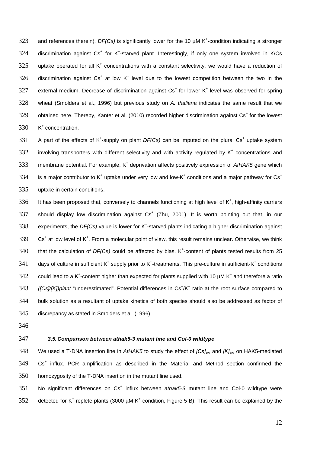323 and references therein).  $DF(Cs)$  is significantly lower for the 10  $\mu$ M K<sup>+</sup>-condition indicating a stronger 324 discrimination against  $Cs<sup>+</sup>$  for K<sup>+</sup>-starved plant. Interestingly, if only one system involved in K/Cs 325 uptake operated for all K<sup>+</sup> concentrations with a constant selectivity, we would have a reduction of 326 discrimination against Cs<sup>+</sup> at low K<sup>+</sup> level due to the lowest competition between the two in the 327 external medium. Decrease of discrimination against  $Cs<sup>+</sup>$  for lower K<sup>+</sup> level was observed for spring 328 wheat (Smolders et al., 1996) but previous study on *A. thaliana* indicates the same result that we 329 obtained here. Thereby, Kanter et al. (2010) recorded higher discrimination against  $Cs<sup>+</sup>$  for the lowest 330 K<sup>+</sup> concentration.

331 A part of the effects of K<sup>+</sup>-supply on plant  $DF(Cs)$  can be imputed on the plural  $Cs<sup>+</sup>$  uptake system 332 involving transporters with different selectivity and with activity regulated by  $K^+$  concentrations and 333 membrane potential. For example, K<sup>+</sup> deprivation affects positively expression of AtHAK5 gene which is a major contributor to K<sup>+</sup> uptake under very low and low-K<sup>+</sup> conditions and a major pathway for Cs<sup>+</sup> 334 335 uptake in certain conditions.

336 It has been proposed that, conversely to channels functioning at high level of  $K^*$ , high-affinity carriers 337 should display low discrimination against  $Cs<sup>+</sup>$  (Zhu, 2001). It is worth pointing out that, in our 338 experiments, the  $DF(Cs)$  value is lower for K<sup>+</sup>-starved plants indicating a higher discrimination against  $339$  Cs<sup>+</sup> at low level of K<sup>+</sup>. From a molecular point of view, this result remains unclear. Otherwise, we think 340 that the calculation of  $DF(Cs)$  could be affected by bias. K<sup>+</sup>-content of plants tested results from 25 341 days of culture in sufficient K<sup>+</sup> supply prior to K<sup>+</sup>-treatments. This pre-culture in sufficient-K<sup>+</sup> conditions 342 could lead to a K<sup>+</sup>-content higher than expected for plants supplied with 10  $\mu$ M K<sup>+</sup> and therefore a ratio 343 ([Cs]/[K])plant "underestimated". Potential differences in Cs<sup>+</sup>/K<sup>+</sup> ratio at the root surface compared to 344 bulk solution as a resultant of uptake kinetics of both species should also be addressed as factor of 345 discrepancy as stated in Smolders et al. (1996).

346

### 347 *3.5. Comparison between athak5-3 mutant line and Col-0 wildtype*

348 We used a T-DNA insertion line in *AtHAK5* to study the effect of *[Cs]ext* and *[K]ext* on HAK5-mediated 349 Cs<sup>+</sup> influx. PCR amplification as described in the Material and Method section confirmed the 350 homozygosity of the T-DNA insertion in the mutant line used.

351 No significant differences on Cs<sup>+</sup> influx between *athak5-3* mutant line and Col-0 wildtype were 352 detected for K<sup>+</sup>-replete plants (3000  $\mu$ M K<sup>+</sup>-condition, Figure 5-B). This result can be explained by the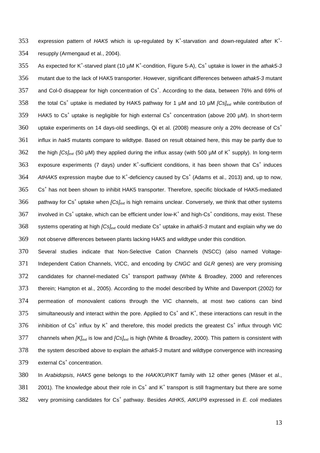353 expression pattern of HAK5 which is up-regulated by K<sup>+</sup>-starvation and down-regulated after K<sup>+</sup>-354 resupply (Armengaud et al., 2004).

355 As expected for K<sup>+</sup>-starved plant (10 µM K<sup>+</sup>-condition, Figure 5-A), Cs<sup>+</sup> uptake is lower in the *athak5*-3 356 mutant due to the lack of HAK5 transporter. However, significant differences between *athak5-3* mutant 357 and Col-0 disappear for high concentration of Cs<sup>+</sup>. According to the data, between 76% and 69% of 358 the total Cs<sup>+</sup> uptake is mediated by HAK5 pathway for 1 µM and 10 µM *[Cs]<sub>ext</sub>* while contribution of 359 HAK5 to Cs<sup>+</sup> uptake is negligible for high external Cs<sup>+</sup> concentration (above 200 µM). In short-term uptake experiments on 14 days-old seedlings, Qi et al. (2008) measure only a 20% decrease of  $Cs<sup>+</sup>$ 360 361 influx in *hak5* mutants compare to wildtype. Based on result obtained here, this may be partly due to 362 the high *[Cs]<sub>ext</sub>* (50 µM) they applied during the influx assay (with 500 µM of K<sup>+</sup> supply). In long-term 363 exposure experiments (7 days) under K<sup>+</sup>-sufficient conditions, it has been shown that  $Cs<sup>+</sup>$  induces 364 AtHAK5 expression maybe due to K<sup>+</sup>-deficiency caused by Cs<sup>+</sup> (Adams et al., 2013) and, up to now, 365 Cs<sup>+</sup> has not been shown to inhibit HAK5 transporter. Therefore, specific blockade of HAK5-mediated 366 pathway for Cs<sup>+</sup> uptake when *[Cs]<sub>ext</sub>* is high remains unclear. Conversely, we think that other systems 367 involved in Cs<sup>+</sup> uptake, which can be efficient under low-K<sup>+</sup> and high-Cs<sup>+</sup> conditions, may exist. These 368 systems operating at high *[Cs]<sub>ext</sub>* could mediate Cs<sup>+</sup> uptake in *athak5-3* mutant and explain why we do 369 not observe differences between plants lacking HAK5 and wildtype under this condition.

370 Several studies indicate that Non-Selective Cation Channels (NSCC) (also named Voltage-371 Independent Cation Channels, VICC, and encoding by *CNGC* and *GLR* genes) are very promising 372 candidates for channel-mediated  $Cs<sup>+</sup>$  transport pathway (White & Broadley, 2000 and references 373 therein; Hampton et al., 2005). According to the model described by White and Davenport (2002) for 374 permeation of monovalent cations through the VIC channels, at most two cations can bind 375 simultaneously and interact within the pore. Applied to  $\text{Cs}^+$  and K<sup>+</sup>, these interactions can result in the 376 inhibition of Cs<sup>+</sup> influx by K<sup>+</sup> and therefore, this model predicts the greatest Cs<sup>+</sup> influx through VIC channels when *[K]ext* is low and *[Cs]ext* 377 is high (White & Broadley, 2000). This pattern is consistent with 378 the system described above to explain the *athak5-3* mutant and wildtype convergence with increasing  $379$  external  $\text{Cs}^+$  concentration.

380 In *Arabidopsis*, *HAK5* gene belongs to the *HAK/KUP/KT* family with 12 other genes (Mäser et al., 381 2001). The knowledge about their role in  $Cs<sup>+</sup>$  and  $K<sup>+</sup>$  transport is still fragmentary but there are some 382 very promising candidates for Cs<sup>+</sup> pathway. Besides AtHK5, AtKUP9 expressed in *E. coli* mediates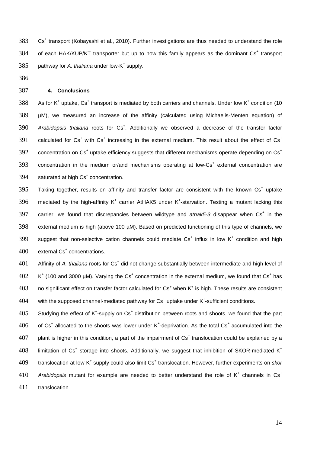383 Cs<sup>+</sup> transport (Kobayashi et al., 2010). Further investigations are thus needed to understand the role 384 of each HAK/KUP/KT transporter but up to now this family appears as the dominant  $Cs<sup>+</sup>$  transport 385 pathway for A. thaliana under low-K<sup>+</sup> supply.

386

#### 387 **4. Conclusions**

388 As for K<sup>+</sup> uptake, Cs<sup>+</sup> transport is mediated by both carriers and channels. Under low K<sup>+</sup> condition (10 389 µM), we measured an increase of the affinity (calculated using Michaelis-Menten equation) of 390 Arabidopsis thaliana roots for Cs<sup>+</sup>. Additionally we observed a decrease of the transfer factor calculated for  $Cs^+$  with  $Cs^+$  increasing in the external medium. This result about the effect of  $Cs^+$ 391 concentration on Cs<sup>+</sup> uptake efficiency suggests that different mechanisms operate depending on Cs<sup>+</sup> 392 393 concentration in the medium or/and mechanisms operating at low- $Cs<sup>+</sup>$  external concentration are  $394$  saturated at high  $\text{Cs}^+$  concentration.

395 Taking together, results on affinity and transfer factor are consistent with the known  $\text{Cs}^+$  uptake 396 mediated by the high-affinity K<sup>+</sup> carrier AtHAK5 under K<sup>+</sup>-starvation. Testing a mutant lacking this 397 carrier, we found that discrepancies between wildtype and athak5-3 disappear when Cs<sup>+</sup> in the 398 external medium is high (above 100 µM). Based on predicted functioning of this type of channels, we 399 suggest that non-selective cation channels could mediate  $Cs<sup>+</sup>$  influx in low  $K<sup>+</sup>$  condition and high 400 external Cs<sup>+</sup> concentrations.

401 Affinity of A. thaliana roots for Cs<sup>+</sup> did not change substantially between intermediate and high level of  $402$  K<sup>+</sup> (100 and 3000 µM). Varying the Cs<sup>+</sup> concentration in the external medium, we found that Cs<sup>+</sup> has 403 no significant effect on transfer factor calculated for  $Cs<sup>+</sup>$  when K<sup>+</sup> is high. These results are consistent  $404$  with the supposed channel-mediated pathway for Cs<sup>+</sup> uptake under K<sup>+</sup>-sufficient conditions.

405 Studying the effect of K<sup>+</sup>-supply on Cs<sup>+</sup> distribution between roots and shoots, we found that the part  $406$  of Cs<sup>+</sup> allocated to the shoots was lower under K<sup>+</sup>-deprivation. As the total Cs<sup>+</sup> accumulated into the  $407$  plant is higher in this condition, a part of the impairment of  $\text{Cs}^+$  translocation could be explained by a limitation of  $Cs<sup>+</sup>$  storage into shoots. Additionally, we suggest that inhibition of SKOR-mediated  $K<sup>+</sup>$ 408 409 translocation at low-K<sup>+</sup> supply could also limit Cs<sup>+</sup> translocation. However, further experiments on *skor* Arabidopsis mutant for example are needed to better understand the role of  $K^+$  channels in  $Cs^+$ 410 411 translocation.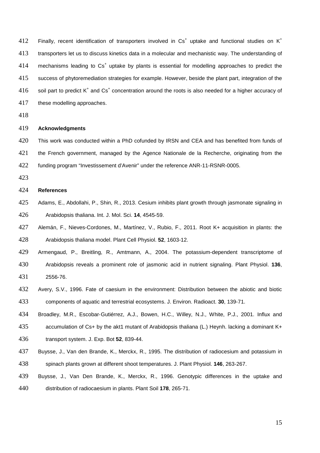Finally, recent identification of transporters involved in  $\text{Cs}^+$  uptake and functional studies on  $\text{K}^+$  transporters let us to discuss kinetics data in a molecular and mechanistic way. The understanding of mechanisms leading to  $\text{Cs}^+$  uptake by plants is essential for modelling approaches to predict the success of phytoremediation strategies for example. However, beside the plant part, integration of the soil part to predict K<sup>+</sup> and Cs<sup>+</sup> concentration around the roots is also needed for a higher accuracy of these modelling approaches.

#### **Acknowledgments**

 This work was conducted within a PhD cofunded by IRSN and CEA and has benefited from funds of 421 the French government, managed by the Agence Nationale de la Recherche, originating from the funding program "Investissement d'Avenir" under the reference ANR-11-RSNR-0005.

#### **References**

- Adams, E., Abdollahi, P., Shin, R., 2013. Cesium inhibits plant growth through jasmonate signaling in Arabidopsis thaliana. Int. J. Mol. Sci. **14**, 4545-59.
- Alemán, F., Nieves-Cordones, M., Martínez, V., Rubio, F., 2011. Root K+ acquisition in plants: the Arabidopsis thaliana model. Plant Cell Physiol. **52**, 1603-12.
- Armengaud, P., Breitling, R., Amtmann, A., 2004. The potassium-dependent transcriptome of
- Arabidopsis reveals a prominent role of jasmonic acid in nutrient signaling. Plant Physiol. **136**, 2556-76.
- Avery, S.V., 1996. Fate of caesium in the environment: Distribution between the abiotic and biotic components of aquatic and terrestrial ecosystems. J. Environ. Radioact. **30**, 139-71.
- 434 Broadley, M.R., Escobar-Gutiérrez, A.J., Bowen, H.C., Willey, N.J., White, P.J., 2001. Influx and
- accumulation of Cs+ by the akt1 mutant of Arabidopsis thaliana (L.) Heynh. lacking a dominant K+ transport system. J. Exp. Bot **52**, 839-44.
- Buysse, J., Van den Brande, K., Merckx, R., 1995. The distribution of radiocesium and potassium in spinach plants grown at different shoot temperatures. J. Plant Physiol. **146**, 263-267.
- Buysse, J., Van Den Brande, K., Merckx, R., 1996. Genotypic differences in the uptake and distribution of radiocaesium in plants. Plant Soil **178**, 265-71.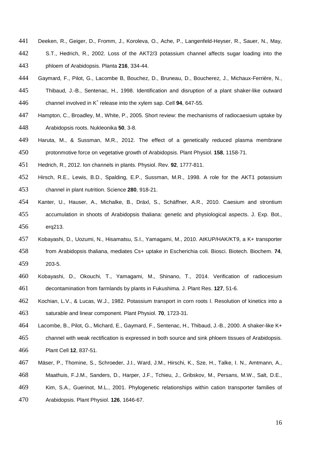- Deeken, R., Geiger, D., Fromm, J., Koroleva, O., Ache, P., Langenfeld-Heyser, R., Sauer, N., May, S.T., Hedrich, R., 2002. Loss of the AKT2/3 potassium channel affects sugar loading into the phloem of Arabidopsis. Planta **216**, 334-44.
- Gaymard, F., Pilot, G., Lacombe B, Bouchez, D., Bruneau, D., Boucherez, J., Michaux-Ferrière, N.,
- Thibaud, J.-B., Sentenac, H., 1998. Identification and disruption of a plant shaker-like outward 446 channel involved in K<sup>+</sup> release into the xylem sap. Cell 94, 647-55.
- Hampton, C., Broadley, M., White, P., 2005. Short review: the mechanisms of radiocaesium uptake by Arabidopsis roots. Nukleonika **50**, 3-8.
- Haruta, M., & Sussman, M.R., 2012. The effect of a genetically reduced plasma membrane protonmotive force on vegetative growth of Arabidopsis. Plant Physiol. **158**, 1158-71.
- Hedrich, R., 2012. Ion channels in plants. Physiol. Rev. **92**, 1777-811.
- Hirsch, R.E., Lewis, B.D., Spalding, E.P., Sussman, M.R., 1998. A role for the AKT1 potassium channel in plant nutrition. Science **280**, 918-21.
- Kanter, U., Hauser, A., Michalke, B., Dräxl, S., Schäffner, A.R., 2010. Caesium and strontium accumulation in shoots of Arabidopsis thaliana: genetic and physiological aspects. J. Exp. Bot., erq213.
- Kobayashi, D., Uozumi, N., Hisamatsu, S.I., Yamagami, M., 2010. AtKUP/HAK/KT9, a K+ transporter from Arabidopsis thaliana, mediates Cs+ uptake in Escherichia coli. Biosci. Biotech. Biochem. **74**,
- 203-5.
- Kobayashi, D., Okouchi, T., Yamagami, M., Shinano, T., 2014. Verification of radiocesium decontamination from farmlands by plants in Fukushima. J. Plant Res. **127**, 51-6.
- Kochian, L.V., & Lucas, W.J., 1982. Potassium transport in corn roots I. Resolution of kinetics into a saturable and linear component. Plant Physiol. **70**, 1723-31.
- Lacombe, B., Pilot, G., Michard, E., Gaymard, F., Sentenac, H., Thibaud, J.-B., 2000. A shaker-like K+ channel with weak rectification is expressed in both source and sink phloem tissues of Arabidopsis.
- Plant Cell **12**, 837-51.
- Mäser, P., Thomine, S., Schroeder, J.I., Ward, J.M., Hirschi, K., Sze, H., Talke, I. N., Amtmann, A.,
- Maathuis, F.J.M., Sanders, D., Harper, J.F., Tchieu, J., Gribskov, M., Persans, M.W., Salt, D.E.,
- Kim, S.A., Guerinot, M.L., 2001. Phylogenetic relationships within cation transporter families of
- Arabidopsis. Plant Physiol. **126**, 1646-67.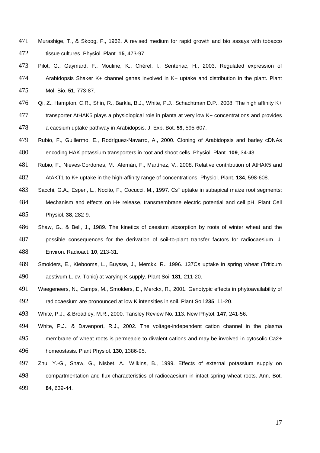- Murashige, T., & Skoog, F., 1962. A revised medium for rapid growth and bio assays with tobacco tissue cultures. Physiol. Plant. **15**, 473-97.
- Pilot, G., Gaymard, F., Mouline, K., Chérel, I., Sentenac, H., 2003. Regulated expression of Arabidopsis Shaker K+ channel genes involved in K+ uptake and distribution in the plant. Plant Mol. Bio. **51**, 773-87.
- Qi, Z., Hampton, C.R., Shin, R., Barkla, B.J., White, P.J., Schachtman D.P., 2008. The high affinity K+ transporter AtHAK5 plays a physiological role in planta at very low K+ concentrations and provides a caesium uptake pathway in Arabidopsis. J. Exp. Bot. **59**, 595-607.
- Rubio, F., Guillermo, E., Rodríguez-Navarro, A., 2000. Cloning of Arabidopsis and barley cDNAs encoding HAK potassium transporters in root and shoot cells. Physiol. Plant. **109**, 34-43.
- Rubio, F., Nieves‐Cordones, M., Alemán, F., Martínez, V., 2008. Relative contribution of AtHAK5 and AtAKT1 to K+ uptake in the high‐affinity range of concentrations. Physiol. Plant. **134**, 598-608.
- 483 Sacchi, G.A., Espen, L., Nocito, F., Cocucci, M., 1997. Cs<sup>+</sup> uptake in subapical maize root segments: Mechanism and effects on H+ release, transmembrane electric potential and cell pH. Plant Cell Physiol. **38**, 282-9.
- Shaw, G., & Bell, J., 1989. The kinetics of caesium absorption by roots of winter wheat and the possible consequences for the derivation of soil-to-plant transfer factors for radiocaesium. J. Environ. Radioact. **10**, 213-31.
- Smolders, E., Kiebooms, L., Buysse, J., Merckx, R., 1996. 137Cs uptake in spring wheat (Triticum aestivum L. cv. Tonic) at varying K supply. Plant Soil **181**, 211-20.
- Waegeneers, N., Camps, M., Smolders, E., Merckx, R., 2001. Genotypic effects in phytoavailability of radiocaesium are pronounced at low K intensities in soil. Plant Soil **235**, 11-20.
- White, P.J., & Broadley, M.R., 2000. Tansley Review No. 113. New Phytol. **147**, 241-56.
- White, P.J., & Davenport, R.J., 2002. The voltage-independent cation channel in the plasma membrane of wheat roots is permeable to divalent cations and may be involved in cytosolic Ca2+ homeostasis. Plant Physiol. **130**, 1386-95.
- Zhu, Y.-G., Shaw, G., Nisbet, A., Wilkins, B., 1999. Effects of external potassium supply on compartmentation and flux characteristics of radiocaesium in intact spring wheat roots. Ann. Bot. **84**, 639-44.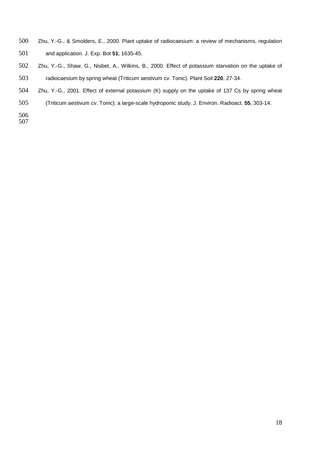- Zhu, Y.-G., & Smolders, E., 2000. Plant uptake of radiocaesium: a review of mechanisms, regulation and application. J. Exp. Bot **51**, 1635-45.
- Zhu, Y.-G., Shaw, G., Nisbet, A., Wilkins, B., 2000. Effect of potassium starvation on the uptake of radiocaesium by spring wheat (Triticum aestivum cv. Tonic). Plant Soil **220**, 27-34.
- Zhu, Y.-G., 2001. Effect of external potassium (K) supply on the uptake of 137 Cs by spring wheat
- (Triticum aestivum cv. Tonic): a large-scale hydroponic study. J. Environ. Radioact. **55**, 303-14.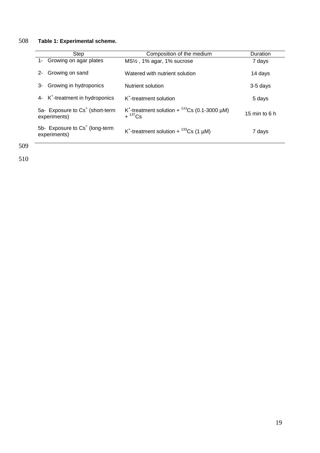# 508 **Table 1: Experimental scheme.**

| Step                                                        | Composition of the medium                                                       | Duration        |
|-------------------------------------------------------------|---------------------------------------------------------------------------------|-----------------|
| Growing on agar plates<br>$1 -$                             | MS <sup>1</sup> / <sub>2</sub> , 1% agar, 1% sucrose                            | 7 days          |
| Growing on sand<br>$2 -$                                    | Watered with nutrient solution                                                  | 14 days         |
| Growing in hydroponics<br>3-                                | Nutrient solution                                                               | 3-5 days        |
| K <sup>+</sup> -treatment in hydroponics<br>4-              | K <sup>+</sup> -treatment solution                                              | 5 days          |
| 5a- Exposure to Cs <sup>+</sup> (short-term<br>experiments) | K <sup>+</sup> -treatment solution + $^{133}$ Cs (0.1-3000 µM)<br>$+{}^{137}Cs$ | 15 min to $6 h$ |
| 5b- Exposure to Cs <sup>+</sup> (long-term<br>experiments)  | K <sup>+</sup> -treatment solution + $^{133}Cs$ (1 µM)                          | 7 days          |

509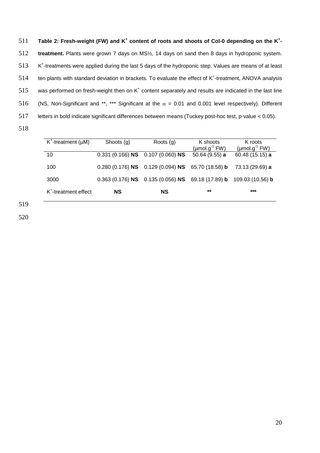| 511 | Table 2: Fresh-weight (FW) and K <sup>+</sup> content of roots and shoots of Col-0 depending on the K <sup>+</sup> - |
|-----|----------------------------------------------------------------------------------------------------------------------|
| 512 | treatment. Plants were grown 7 days on $MS/2$ , 14 days on sand then 8 days in hydroponic system.                    |
| 513 | K <sup>+</sup> -treatments were applied during the last 5 days of the hydroponic step. Values are means of at least  |
| 514 | ten plants with standard deviation in brackets. To evaluate the effect of K <sup>+</sup> -treatment, ANOVA analysis  |
| 515 | was performed on fresh-weight then on K <sup>+</sup> content separately and results are indicated in the last line   |
| 516 | (NS, Non-Significant and **, *** Significant at the $\alpha = 0.01$ and 0.001 level respectively). Different         |
| 517 | letters in bold indicate significant differences between means (Tuckey post-hoc test, p-value < 0.05).               |
|     |                                                                                                                      |

| $K^+$ -treatment ( $\mu$ M)      | Shoots (g) | Roots $(g)$                                       | K shoots<br>$(\mu \text{mol}.g^{-1}$ FW) | K roots<br>$(\mu \text{mol}.g^{-1}$ FW) |
|----------------------------------|------------|---------------------------------------------------|------------------------------------------|-----------------------------------------|
| 10                               |            | $0.331$ (0.166) NS $0.107$ (0.060) NS             | 50.64 (9.55) a                           | 60.48 (15.15) a                         |
| 100                              |            | 0.280 (0.176) NS 0.129 (0.094) NS 65.70 (18.58) b |                                          | 73.13 (29.69) a                         |
| 3000                             |            | 0.363 (0.176) NS 0.135 (0.056) NS 69.18 (17.89) b |                                          | 109.03 (10.56) <b>b</b>                 |
| K <sup>+</sup> -treatment effect | <b>NS</b>  | <b>NS</b>                                         | $***$                                    | ***                                     |

519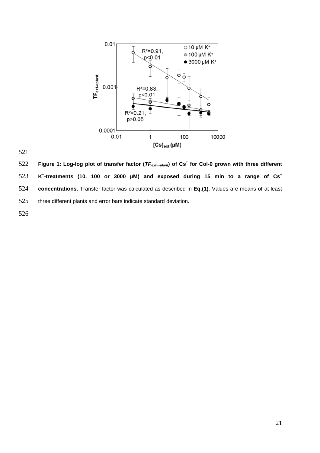

**Figure 1: Log-log plot of transfer factor (***TFext→plant***) of Cs<sup>+</sup> for Col-0 grown with three different K + -treatments (10, 100 or 3000 µM) and exposed during 15 min to a range of Cs<sup>+</sup> concentrations.** Transfer factor was calculated as described in **Eq.(1)**. Values are means of at least three different plants and error bars indicate standard deviation.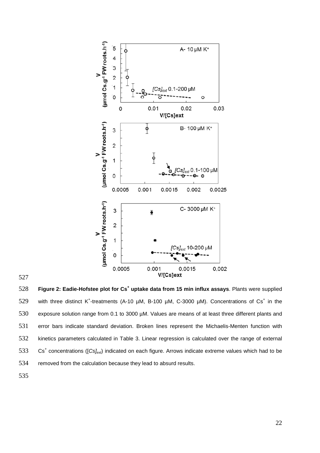



**Figure 2: Eadie-Hofstee plot for Cs<sup>+</sup> uptake data from 15 min influx assays**. Plants were supplied 529 with three distinct K<sup>+</sup>-treatments (A-10 µM, B-100 µM, C-3000 µM). Concentrations of Cs<sup>+</sup> in the exposure solution range from 0.1 to 3000 µM. Values are means of at least three different plants and error bars indicate standard deviation. Broken lines represent the Michaelis-Menten function with kinetics parameters calculated in Table 3. Linear regression is calculated over the range of external 533 Cs<sup>+</sup> concentrations ([Cs]<sub>ext</sub>) indicated on each figure. Arrows indicate extreme values which had to be removed from the calculation because they lead to absurd results.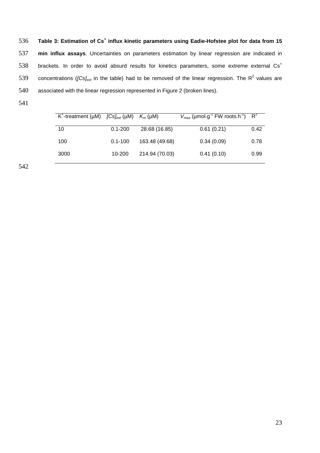**Table 3: Estimation of Cs<sup>+</sup>** 536 **influx kinetic parameters using Eadie-Hofstee plot for data from 15** 537 **min influx assays**. Uncertainties on parameters estimation by linear regression are indicated in brackets. In order to avoid absurd results for kinetics parameters, some extreme external Cs<sup>+</sup> 538 539 concentrations (*[Cs]<sub>ext</sub>* in the table) had to be removed of the linear regression. The R<sup>2</sup> values are 540 associated with the linear regression represented in Figure 2 (broken lines).

541

| K <sup>+</sup> -treatment (µM) $[Cs]_{ext}$ (µM) $K_m$ (µM) |             |                | $V_{\text{max}}$ (µmol.g <sup>-1</sup> FW roots.h <sup>-1</sup> ) R <sup>2</sup> |      |
|-------------------------------------------------------------|-------------|----------------|----------------------------------------------------------------------------------|------|
| 10                                                          | $0.1 - 200$ | 28.68 (16.85)  | 0.61(0.21)                                                                       | 0.42 |
| 100                                                         | $0.1 - 100$ | 163.48 (49.68) | 0.34(0.09)                                                                       | 0.78 |
| 3000                                                        | 10-200      | 214.94 (70.03) | 0.41(0.10)                                                                       | 0.99 |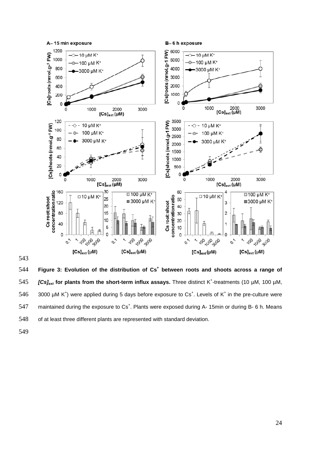

**Figure 3: Evolution of the distribution of Cs<sup>+</sup> between roots and shoots across a range of** *[Cs]<sub>ext</sub>* for plants from the short-term influx assays. Three distinct K<sup>+</sup>-treatments (10 µM, 100 µM, 546 3000  $\mu$ M K<sup>+</sup>) were applied during 5 days before exposure to Cs<sup>+</sup>. Levels of K<sup>+</sup> in the pre-culture were 547 maintained during the exposure to  $\text{Cs}^+$ . Plants were exposed during A- 15min or during B- 6 h. Means of at least three different plants are represented with standard deviation.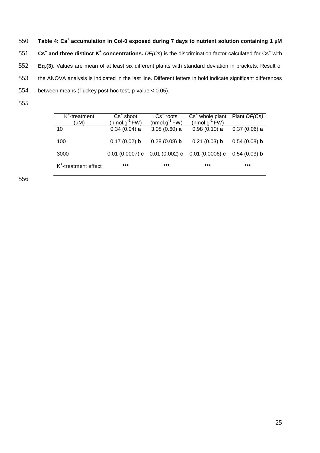- **Table 4: Cs<sup>+</sup>** 550 **accumulation in Col-0 exposed during 7 days to nutrient solution containing 1 µM** 551 Cs<sup>+</sup> and three distinct K<sup>+</sup> concentrations. DF(Cs) is the discrimination factor calculated for Cs<sup>+</sup> with 552 **Eq.(3)**. Values are mean of at least six different plants with standard deviation in brackets. Result of 553 the ANOVA analysis is indicated in the last line. Different letters in bold indicate significant differences 554 between means (Tuckey post-hoc test, p-value < 0.05).
- 555

| $K^*$ -treatment<br>(µM)         | $Cs+$ shoot<br>$(mmol.g^{-1}FW)$ | $Cs+$ roots<br>(nmol.g <sup>-1</sup> FW) | $Cs+$ whole plant<br>(nmol.g <sup>-1</sup> FW) | Plant DF(Cs)         |
|----------------------------------|----------------------------------|------------------------------------------|------------------------------------------------|----------------------|
| 10                               | $0.34(0.04)$ a                   | $3.08(0.60)$ a                           | $0.98(0.10)$ a                                 | $0.37(0.06)$ a       |
| 100                              | $0.17(0.02)$ b                   | $0.28(0.08)$ b                           | $0.21(0.03)$ b                                 | $0.54(0.08)$ b       |
| 3000                             |                                  |                                          | 0.01 (0.0007) c 0.01 (0.002) c 0.01 (0.0006) c | 0.54 (0.03) <b>b</b> |
| K <sup>+</sup> -treatment effect | ***                              | ***                                      | ***                                            | ***                  |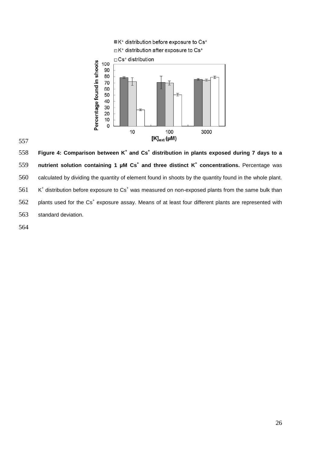



**Figure 4: Comparison between K<sup>+</sup> and Cs<sup>+</sup> distribution in plants exposed during 7 days to a nutrient solution containing 1 µM Cs<sup>+</sup> and three distinct K<sup>+</sup> concentrations.** Percentage was calculated by dividing the quantity of element found in shoots by the quantity found in the whole plant. 561 K<sup>+</sup> distribution before exposure to  $\text{Cs}^+$  was measured on non-exposed plants from the same bulk than plants used for the Cs<sup>+</sup> exposure assay. Means of at least four different plants are represented with standard deviation.